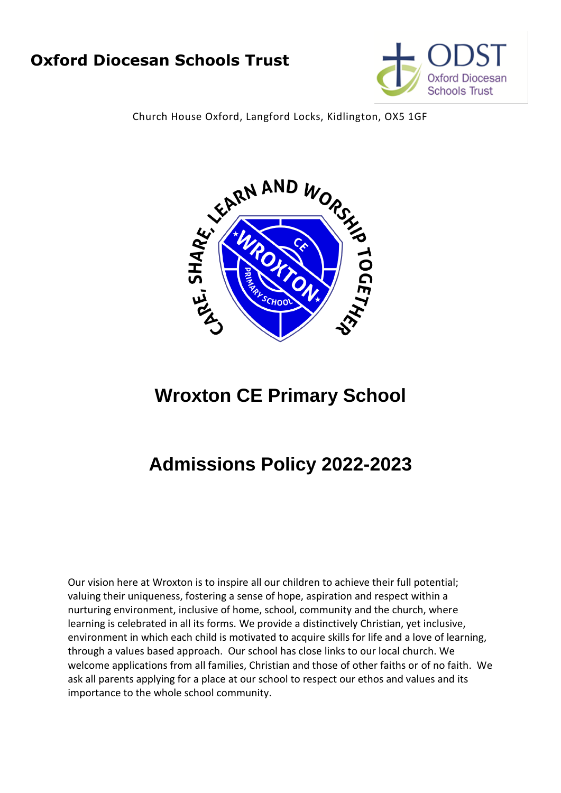# **Oxford Diocesan Schools Trust**



Church House Oxford, Langford Locks, Kidlington, OX5 1GF



# **Wroxton CE Primary School**

# **Admissions Policy 2022-2023**

Our vision here at Wroxton is to inspire all our children to achieve their full potential; valuing their uniqueness, fostering a sense of hope, aspiration and respect within a nurturing environment, inclusive of home, school, community and the church, where learning is celebrated in all its forms. We provide a distinctively Christian, yet inclusive, environment in which each child is motivated to acquire skills for life and a love of learning, through a values based approach. Our school has close links to our local church. We welcome applications from all families, Christian and those of other faiths or of no faith. We ask all parents applying for a place at our school to respect our ethos and values and its importance to the whole school community.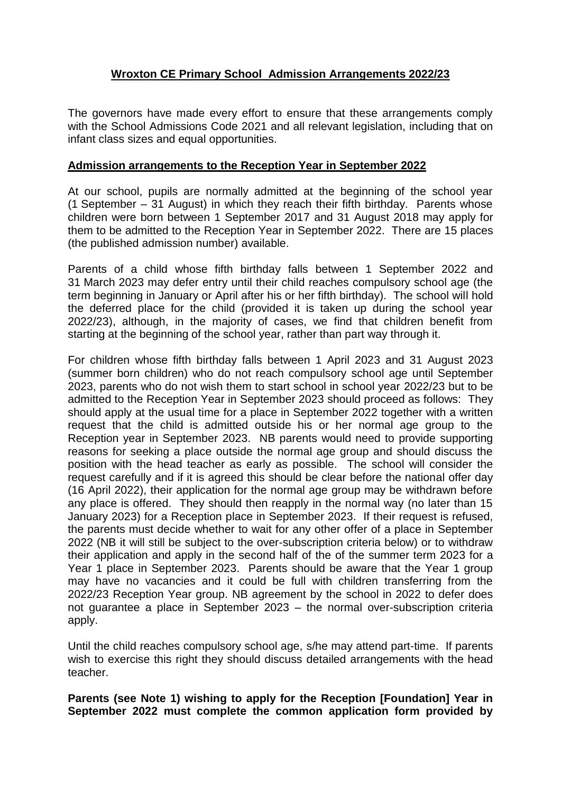# **Wroxton CE Primary School Admission Arrangements 2022/23**

The governors have made every effort to ensure that these arrangements comply with the School Admissions Code 2021 and all relevant legislation, including that on infant class sizes and equal opportunities.

### **Admission arrangements to the Reception Year in September 2022**

At our school, pupils are normally admitted at the beginning of the school year (1 September – 31 August) in which they reach their fifth birthday. Parents whose children were born between 1 September 2017 and 31 August 2018 may apply for them to be admitted to the Reception Year in September 2022. There are 15 places (the published admission number) available.

Parents of a child whose fifth birthday falls between 1 September 2022 and 31 March 2023 may defer entry until their child reaches compulsory school age (the term beginning in January or April after his or her fifth birthday). The school will hold the deferred place for the child (provided it is taken up during the school year 2022/23), although, in the majority of cases, we find that children benefit from starting at the beginning of the school year, rather than part way through it.

For children whose fifth birthday falls between 1 April 2023 and 31 August 2023 (summer born children) who do not reach compulsory school age until September 2023, parents who do not wish them to start school in school year 2022/23 but to be admitted to the Reception Year in September 2023 should proceed as follows: They should apply at the usual time for a place in September 2022 together with a written request that the child is admitted outside his or her normal age group to the Reception year in September 2023. NB parents would need to provide supporting reasons for seeking a place outside the normal age group and should discuss the position with the head teacher as early as possible. The school will consider the request carefully and if it is agreed this should be clear before the national offer day (16 April 2022), their application for the normal age group may be withdrawn before any place is offered. They should then reapply in the normal way (no later than 15 January 2023) for a Reception place in September 2023. If their request is refused, the parents must decide whether to wait for any other offer of a place in September 2022 (NB it will still be subject to the over-subscription criteria below) or to withdraw their application and apply in the second half of the of the summer term 2023 for a Year 1 place in September 2023. Parents should be aware that the Year 1 group may have no vacancies and it could be full with children transferring from the 2022/23 Reception Year group. NB agreement by the school in 2022 to defer does not guarantee a place in September 2023 – the normal over-subscription criteria apply.

Until the child reaches compulsory school age, s/he may attend part-time. If parents wish to exercise this right they should discuss detailed arrangements with the head teacher.

**Parents (see Note 1) wishing to apply for the Reception [Foundation] Year in September 2022 must complete the common application form provided by**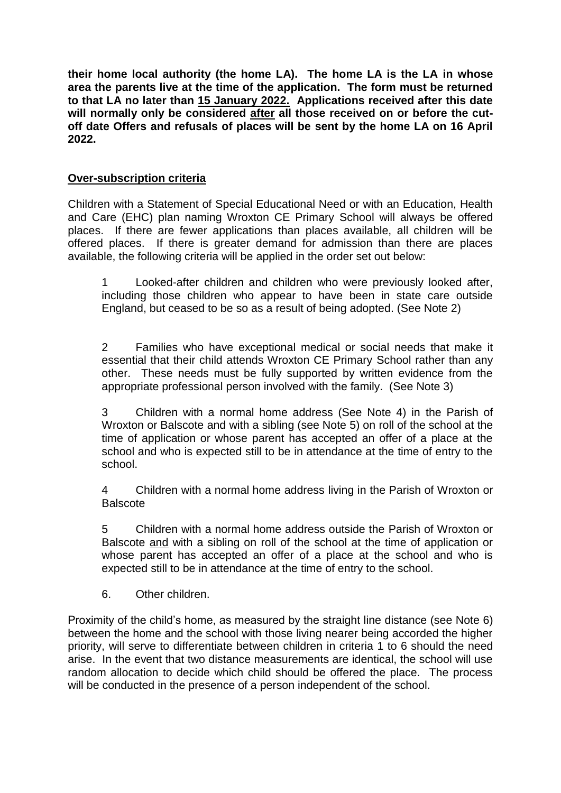**their home local authority (the home LA). The home LA is the LA in whose area the parents live at the time of the application. The form must be returned to that LA no later than 15 January 2022. Applications received after this date will normally only be considered after all those received on or before the cutoff date Offers and refusals of places will be sent by the home LA on 16 April 2022.**

# **Over-subscription criteria**

Children with a Statement of Special Educational Need or with an Education, Health and Care (EHC) plan naming Wroxton CE Primary School will always be offered places. If there are fewer applications than places available, all children will be offered places. If there is greater demand for admission than there are places available, the following criteria will be applied in the order set out below:

1 Looked-after children and children who were previously looked after, including those children who appear to have been in state care outside England, but ceased to be so as a result of being adopted. (See Note 2)

2 Families who have exceptional medical or social needs that make it essential that their child attends Wroxton CE Primary School rather than any other. These needs must be fully supported by written evidence from the appropriate professional person involved with the family. (See Note 3)

3 Children with a normal home address (See Note 4) in the Parish of Wroxton or Balscote and with a sibling (see Note 5) on roll of the school at the time of application or whose parent has accepted an offer of a place at the school and who is expected still to be in attendance at the time of entry to the school.

4 Children with a normal home address living in the Parish of Wroxton or **Balscote** 

5 Children with a normal home address outside the Parish of Wroxton or Balscote and with a sibling on roll of the school at the time of application or whose parent has accepted an offer of a place at the school and who is expected still to be in attendance at the time of entry to the school.

6. Other children.

Proximity of the child's home, as measured by the straight line distance (see Note 6) between the home and the school with those living nearer being accorded the higher priority, will serve to differentiate between children in criteria 1 to 6 should the need arise. In the event that two distance measurements are identical, the school will use random allocation to decide which child should be offered the place. The process will be conducted in the presence of a person independent of the school.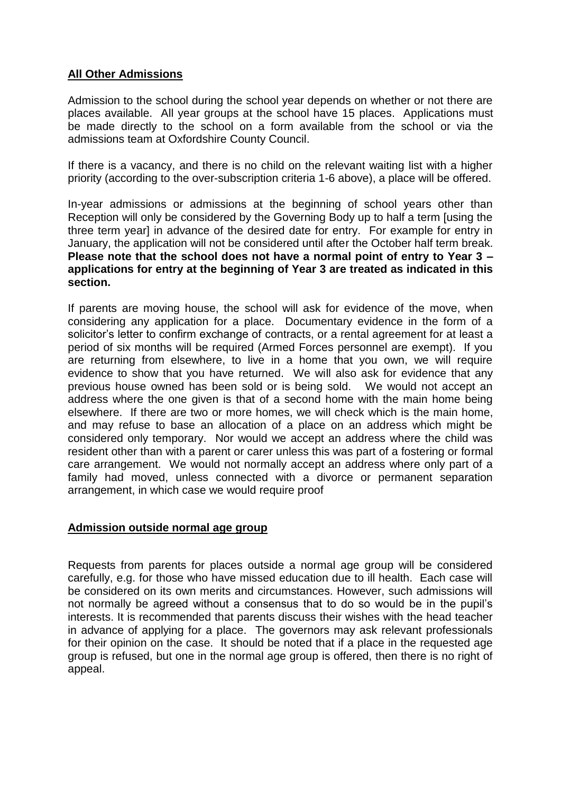# **All Other Admissions**

Admission to the school during the school year depends on whether or not there are places available. All year groups at the school have 15 places. Applications must be made directly to the school on a form available from the school or via the admissions team at Oxfordshire County Council.

If there is a vacancy, and there is no child on the relevant waiting list with a higher priority (according to the over-subscription criteria 1-6 above), a place will be offered.

In-year admissions or admissions at the beginning of school years other than Reception will only be considered by the Governing Body up to half a term [using the three term year] in advance of the desired date for entry. For example for entry in January, the application will not be considered until after the October half term break. **Please note that the school does not have a normal point of entry to Year 3 – applications for entry at the beginning of Year 3 are treated as indicated in this section.**

If parents are moving house, the school will ask for evidence of the move, when considering any application for a place. Documentary evidence in the form of a solicitor's letter to confirm exchange of contracts, or a rental agreement for at least a period of six months will be required (Armed Forces personnel are exempt). If you are returning from elsewhere, to live in a home that you own, we will require evidence to show that you have returned. We will also ask for evidence that any previous house owned has been sold or is being sold. We would not accept an address where the one given is that of a second home with the main home being elsewhere. If there are two or more homes, we will check which is the main home, and may refuse to base an allocation of a place on an address which might be considered only temporary. Nor would we accept an address where the child was resident other than with a parent or carer unless this was part of a fostering or formal care arrangement. We would not normally accept an address where only part of a family had moved, unless connected with a divorce or permanent separation arrangement, in which case we would require proof

#### **Admission outside normal age group**

Requests from parents for places outside a normal age group will be considered carefully, e.g. for those who have missed education due to ill health. Each case will be considered on its own merits and circumstances. However, such admissions will not normally be agreed without a consensus that to do so would be in the pupil's interests. It is recommended that parents discuss their wishes with the head teacher in advance of applying for a place. The governors may ask relevant professionals for their opinion on the case. It should be noted that if a place in the requested age group is refused, but one in the normal age group is offered, then there is no right of appeal.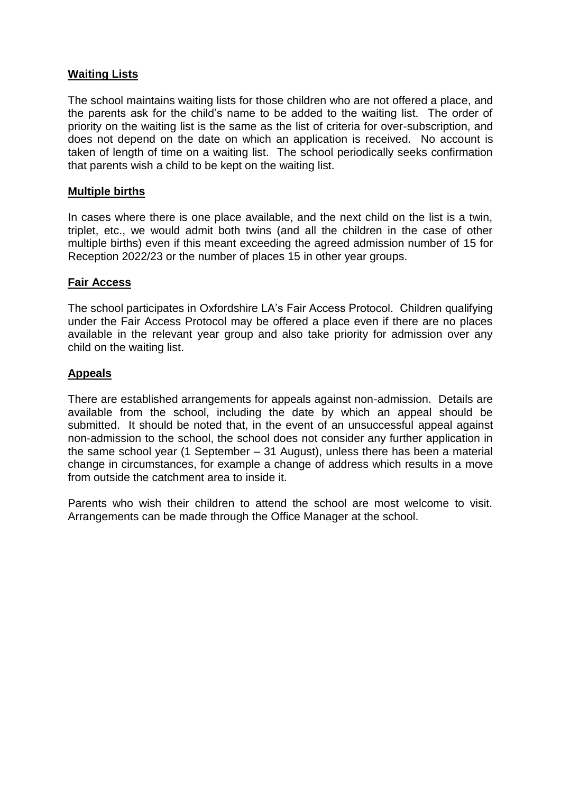# **Waiting Lists**

The school maintains waiting lists for those children who are not offered a place, and the parents ask for the child's name to be added to the waiting list. The order of priority on the waiting list is the same as the list of criteria for over-subscription, and does not depend on the date on which an application is received. No account is taken of length of time on a waiting list. The school periodically seeks confirmation that parents wish a child to be kept on the waiting list.

#### **Multiple births**

In cases where there is one place available, and the next child on the list is a twin, triplet, etc., we would admit both twins (and all the children in the case of other multiple births) even if this meant exceeding the agreed admission number of 15 for Reception 2022/23 or the number of places 15 in other year groups.

#### **Fair Access**

The school participates in Oxfordshire LA's Fair Access Protocol. Children qualifying under the Fair Access Protocol may be offered a place even if there are no places available in the relevant year group and also take priority for admission over any child on the waiting list.

#### **Appeals**

There are established arrangements for appeals against non-admission. Details are available from the school, including the date by which an appeal should be submitted. It should be noted that, in the event of an unsuccessful appeal against non-admission to the school, the school does not consider any further application in the same school year (1 September – 31 August), unless there has been a material change in circumstances, for example a change of address which results in a move from outside the catchment area to inside it.

Parents who wish their children to attend the school are most welcome to visit. Arrangements can be made through the Office Manager at the school.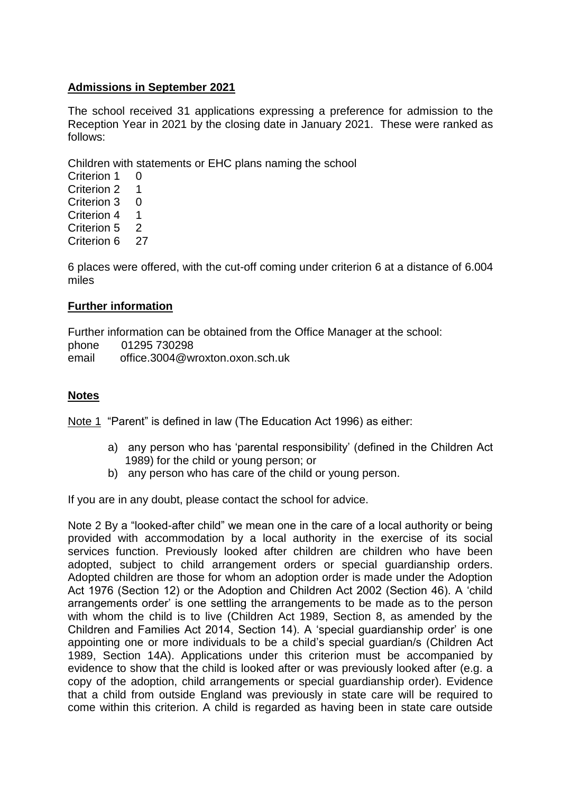### **Admissions in September 2021**

The school received 31 applications expressing a preference for admission to the Reception Year in 2021 by the closing date in January 2021. These were ranked as follows:

Children with statements or EHC plans naming the school

Criterion 1 0 Criterion 2 1 Criterion 3 0 Criterion 4 1 Criterion 5<sub>2</sub> Criterion 6 27

6 places were offered, with the cut-off coming under criterion 6 at a distance of 6.004 miles

#### **Further information**

Further information can be obtained from the Office Manager at the school: phone 01295 730298 email office.3004@wroxton.oxon.sch.uk

# **Notes**

Note 1 "Parent" is defined in law (The Education Act 1996) as either:

- a) any person who has 'parental responsibility' (defined in the Children Act 1989) for the child or young person; or
- b) any person who has care of the child or young person.

If you are in any doubt, please contact the school for advice.

Note 2 By a "looked-after child" we mean one in the care of a local authority or being provided with accommodation by a local authority in the exercise of its social services function. Previously looked after children are children who have been adopted, subject to child arrangement orders or special guardianship orders. Adopted children are those for whom an adoption order is made under the Adoption Act 1976 (Section 12) or the Adoption and Children Act 2002 (Section 46). A 'child arrangements order' is one settling the arrangements to be made as to the person with whom the child is to live (Children Act 1989, Section 8, as amended by the Children and Families Act 2014, Section 14). A 'special guardianship order' is one appointing one or more individuals to be a child's special guardian/s (Children Act 1989, Section 14A). Applications under this criterion must be accompanied by evidence to show that the child is looked after or was previously looked after (e.g. a copy of the adoption, child arrangements or special guardianship order). Evidence that a child from outside England was previously in state care will be required to come within this criterion. A child is regarded as having been in state care outside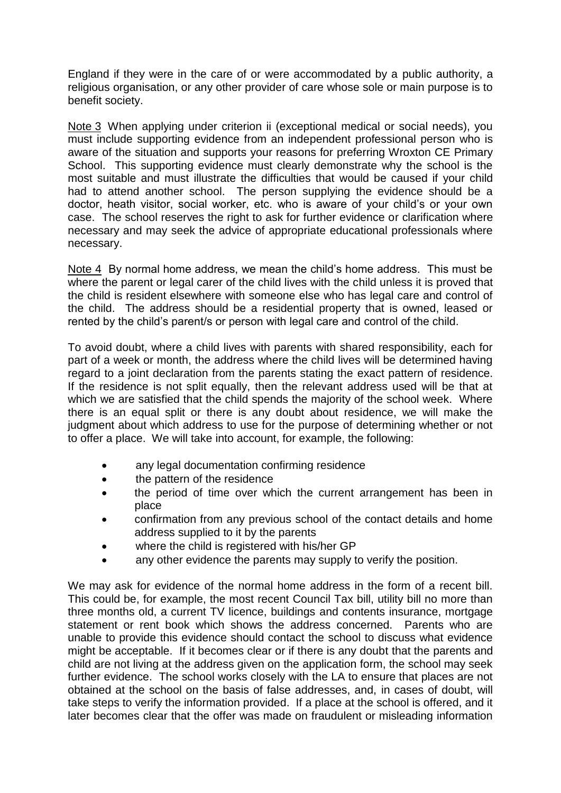England if they were in the care of or were accommodated by a public authority, a religious organisation, or any other provider of care whose sole or main purpose is to benefit society.

Note 3 When applying under criterion ii (exceptional medical or social needs), you must include supporting evidence from an independent professional person who is aware of the situation and supports your reasons for preferring Wroxton CE Primary School. This supporting evidence must clearly demonstrate why the school is the most suitable and must illustrate the difficulties that would be caused if your child had to attend another school. The person supplying the evidence should be a doctor, heath visitor, social worker, etc. who is aware of your child's or your own case. The school reserves the right to ask for further evidence or clarification where necessary and may seek the advice of appropriate educational professionals where necessary.

Note 4 By normal home address, we mean the child's home address. This must be where the parent or legal carer of the child lives with the child unless it is proved that the child is resident elsewhere with someone else who has legal care and control of the child. The address should be a residential property that is owned, leased or rented by the child's parent/s or person with legal care and control of the child.

To avoid doubt, where a child lives with parents with shared responsibility, each for part of a week or month, the address where the child lives will be determined having regard to a joint declaration from the parents stating the exact pattern of residence. If the residence is not split equally, then the relevant address used will be that at which we are satisfied that the child spends the majority of the school week. Where there is an equal split or there is any doubt about residence, we will make the judgment about which address to use for the purpose of determining whether or not to offer a place. We will take into account, for example, the following:

- any legal documentation confirming residence
- the pattern of the residence
- the period of time over which the current arrangement has been in place
- confirmation from any previous school of the contact details and home address supplied to it by the parents
- where the child is registered with his/her GP
- any other evidence the parents may supply to verify the position.

We may ask for evidence of the normal home address in the form of a recent bill. This could be, for example, the most recent Council Tax bill, utility bill no more than three months old, a current TV licence, buildings and contents insurance, mortgage statement or rent book which shows the address concerned. Parents who are unable to provide this evidence should contact the school to discuss what evidence might be acceptable. If it becomes clear or if there is any doubt that the parents and child are not living at the address given on the application form, the school may seek further evidence. The school works closely with the LA to ensure that places are not obtained at the school on the basis of false addresses, and, in cases of doubt, will take steps to verify the information provided. If a place at the school is offered, and it later becomes clear that the offer was made on fraudulent or misleading information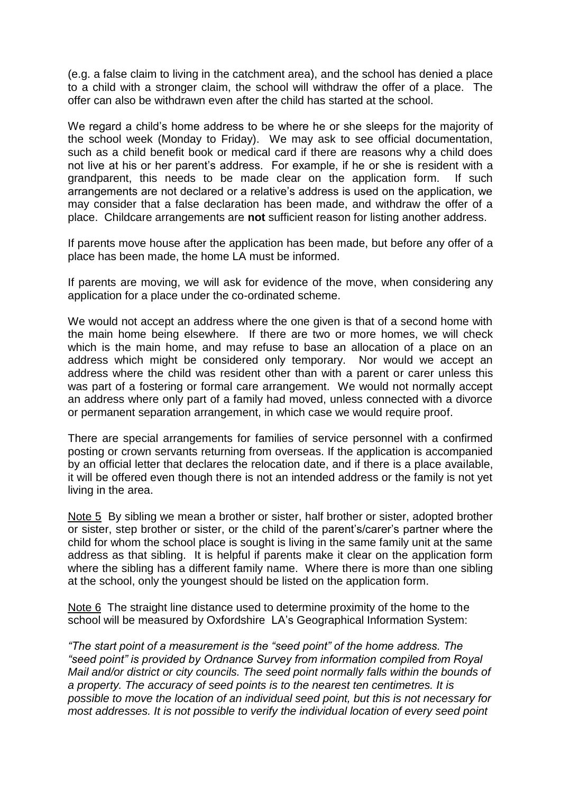(e.g. a false claim to living in the catchment area), and the school has denied a place to a child with a stronger claim, the school will withdraw the offer of a place. The offer can also be withdrawn even after the child has started at the school.

We regard a child's home address to be where he or she sleeps for the majority of the school week (Monday to Friday). We may ask to see official documentation, such as a child benefit book or medical card if there are reasons why a child does not live at his or her parent's address. For example, if he or she is resident with a grandparent, this needs to be made clear on the application form. If such arrangements are not declared or a relative's address is used on the application, we may consider that a false declaration has been made, and withdraw the offer of a place. Childcare arrangements are **not** sufficient reason for listing another address.

If parents move house after the application has been made, but before any offer of a place has been made, the home LA must be informed.

If parents are moving, we will ask for evidence of the move, when considering any application for a place under the co-ordinated scheme.

We would not accept an address where the one given is that of a second home with the main home being elsewhere. If there are two or more homes, we will check which is the main home, and may refuse to base an allocation of a place on an address which might be considered only temporary. Nor would we accept an address where the child was resident other than with a parent or carer unless this was part of a fostering or formal care arrangement. We would not normally accept an address where only part of a family had moved, unless connected with a divorce or permanent separation arrangement, in which case we would require proof.

There are special arrangements for families of service personnel with a confirmed posting or crown servants returning from overseas. If the application is accompanied by an official letter that declares the relocation date, and if there is a place available, it will be offered even though there is not an intended address or the family is not yet living in the area.

Note 5 By sibling we mean a brother or sister, half brother or sister, adopted brother or sister, step brother or sister, or the child of the parent's/carer's partner where the child for whom the school place is sought is living in the same family unit at the same address as that sibling. It is helpful if parents make it clear on the application form where the sibling has a different family name. Where there is more than one sibling at the school, only the youngest should be listed on the application form.

Note 6 The straight line distance used to determine proximity of the home to the school will be measured by Oxfordshire LA's Geographical Information System:

*"The start point of a measurement is the "seed point" of the home address. The "seed point" is provided by Ordnance Survey from information compiled from Royal Mail and/or district or city councils. The seed point normally falls within the bounds of a property. The accuracy of seed points is to the nearest ten centimetres. It is possible to move the location of an individual seed point, but this is not necessary for most addresses. It is not possible to verify the individual location of every seed point*